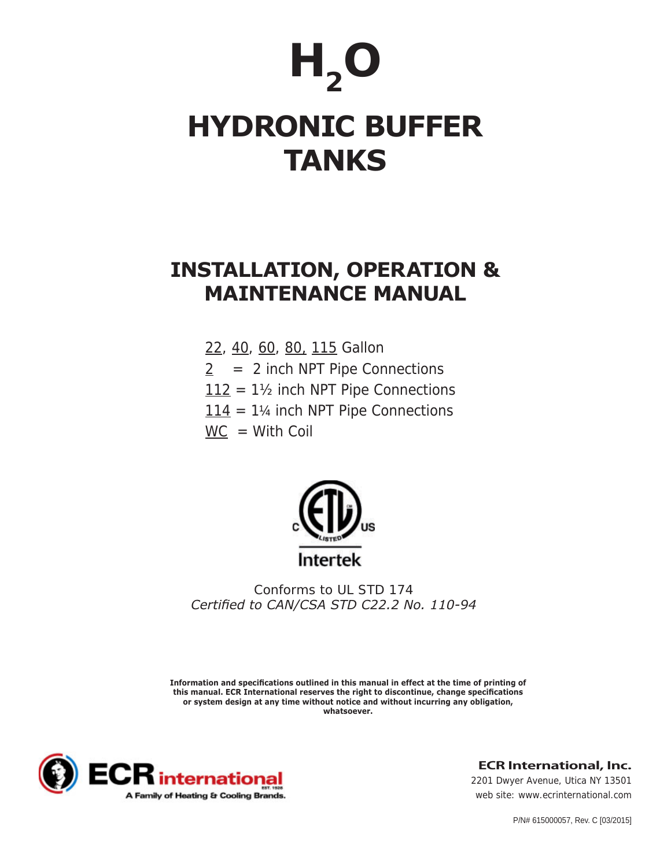# $H<sub>2</sub>$ O **HYDRONIC BUFFER TANKS**

# **INSTALLATION, OPERATION & MAINTENANCE MANUAL**

- 22, 40, 60, 80, 115 Gallon
- $2 = 2$  inch NPT Pipe Connections
- $112 = 1\frac{1}{2}$  inch NPT Pipe Connections
- $114 = 1\%$  inch NPT Pipe Connections
- $WC = With Coil$



*Conforms to UL STD 174 Certified to CAN/CSA STD C22.2 No. 110-94*

**Information and specifications outlined in this manual in effect at the time of printing of this manual. ECR International reserves the right to discontinue, change specifications or system design at any time without notice and without incurring any obligation, whatsoever.**



**ECR International, Inc.**

*2201 Dwyer Avenue, Utica NY 13501 web site: www.ecrinternational.com*

P/N# 615000057, Rev. C [03/2015]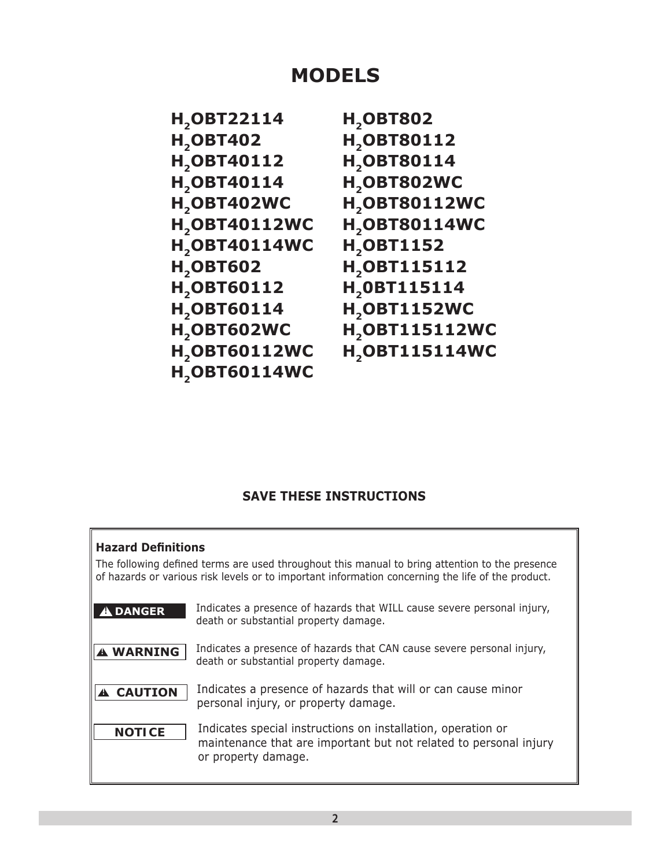## **MODELS**

| H <sub>2</sub> OBT22114        | <b>H<sub>2</sub>OBT802</b>      |
|--------------------------------|---------------------------------|
| <b>H<sub>2</sub>OBT402</b>     | H <sub>2</sub> OBT80112         |
| H <sub>2</sub> OBT40112        | H <sub>2</sub> OBT80114         |
| H <sub>2</sub> OBT40114        | H <sub>2</sub> OBT802WC         |
| H <sub>2</sub> OBT402WC        | <b>H<sub>2</sub>OBT80112WC</b>  |
| <b>H<sub>2</sub>OBT40112WC</b> | <b>H<sub>2</sub>OBT80114WC</b>  |
| <b>H<sub>2</sub>OBT40114WC</b> | <b>H<sub>2</sub>OBT1152</b>     |
| <b>H<sub>2</sub>OBT602</b>     | H <sub>2</sub> OBT115112        |
| H <sub>2</sub> OBT60112        | H <sub>2</sub> 0BT115114        |
| H <sub>2</sub> OBT60114        | <b>H<sub>2</sub>OBT1152WC</b>   |
| H <sub>2</sub> OBT602WC        | <b>H<sub>2</sub>OBT115112WC</b> |
| H <sub>2</sub> OBT60112WC      | <b>H<sub>2</sub>OBT115114WC</b> |
| <b>H<sub>2</sub>OBT60114WC</b> |                                 |
|                                |                                 |

### **SAVE THESE INSTRUCTIONS**

| <b>Hazard Definitions</b><br>The following defined terms are used throughout this manual to bring attention to the presence<br>of hazards or various risk levels or to important information concerning the life of the product. |                                                                                                                                                          |  |  |  |  |
|----------------------------------------------------------------------------------------------------------------------------------------------------------------------------------------------------------------------------------|----------------------------------------------------------------------------------------------------------------------------------------------------------|--|--|--|--|
| <b>DANGER</b>                                                                                                                                                                                                                    | Indicates a presence of hazards that WILL cause severe personal injury,<br>death or substantial property damage.                                         |  |  |  |  |
| <b>A WARNING</b>                                                                                                                                                                                                                 | Indicates a presence of hazards that CAN cause severe personal injury,<br>death or substantial property damage.                                          |  |  |  |  |
| <b>A CAUTION</b>                                                                                                                                                                                                                 | Indicates a presence of hazards that will or can cause minor<br>personal injury, or property damage.                                                     |  |  |  |  |
| <b>NOTICE</b>                                                                                                                                                                                                                    | Indicates special instructions on installation, operation or<br>maintenance that are important but not related to personal injury<br>or property damage. |  |  |  |  |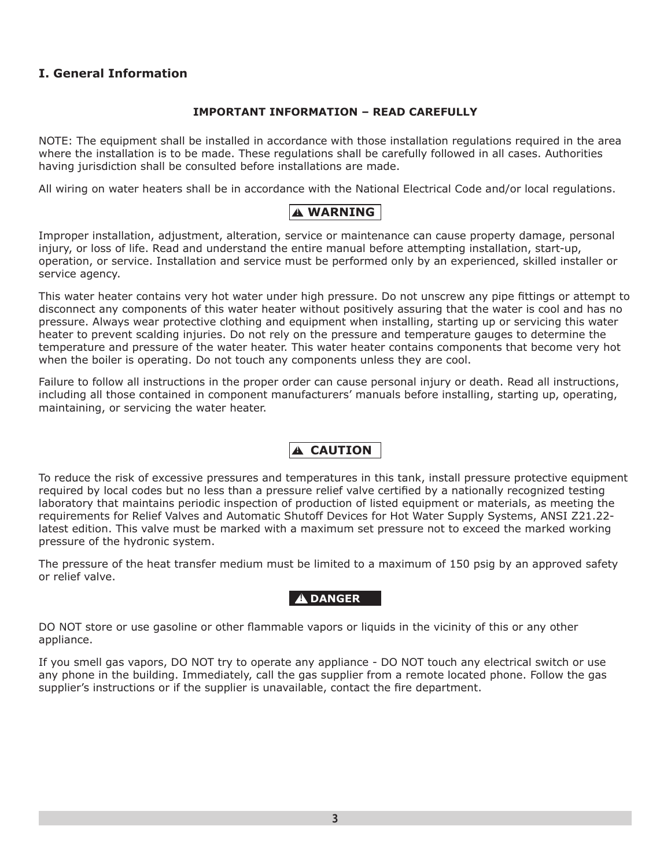### **I. General Information**

### **IMPORTANT INFORMATION – READ CAREFULLY**

NOTE: The equipment shall be installed in accordance with those installation regulations required in the area where the installation is to be made. These regulations shall be carefully followed in all cases. Authorities having jurisdiction shall be consulted before installations are made.

All wiring on water heaters shall be in accordance with the National Electrical Code and/or local regulations.

### **! WARNING**

Improper installation, adjustment, alteration, service or maintenance can cause property damage, personal injury, or loss of life. Read and understand the entire manual before attempting installation, start-up, operation, or service. Installation and service must be performed only by an experienced, skilled installer or service agency.

This water heater contains very hot water under high pressure. Do not unscrew any pipe fittings or attempt to disconnect any components of this water heater without positively assuring that the water is cool and has no pressure. Always wear protective clothing and equipment when installing, starting up or servicing this water heater to prevent scalding injuries. Do not rely on the pressure and temperature gauges to determine the temperature and pressure of the water heater. This water heater contains components that become very hot when the boiler is operating. Do not touch any components unless they are cool.

Failure to follow all instructions in the proper order can cause personal injury or death. Read all instructions, including all those contained in component manufacturers' manuals before installing, starting up, operating, maintaining, or servicing the water heater.

### **! CAUTION**

To reduce the risk of excessive pressures and temperatures in this tank, install pressure protective equipment required by local codes but no less than a pressure relief valve certified by a nationally recognized testing laboratory that maintains periodic inspection of production of listed equipment or materials, as meeting the requirements for Relief Valves and Automatic Shutoff Devices for Hot Water Supply Systems, ANSI Z21.22 latest edition. This valve must be marked with a maximum set pressure not to exceed the marked working pressure of the hydronic system.

The pressure of the heat transfer medium must be limited to a maximum of 150 psig by an approved safety or relief valve.

### **! DANGER**

DO NOT store or use gasoline or other flammable vapors or liquids in the vicinity of this or any other appliance.

If you smell gas vapors, DO NOT try to operate any appliance - DO NOT touch any electrical switch or use any phone in the building. Immediately, call the gas supplier from a remote located phone. Follow the gas supplier's instructions or if the supplier is unavailable, contact the fire department.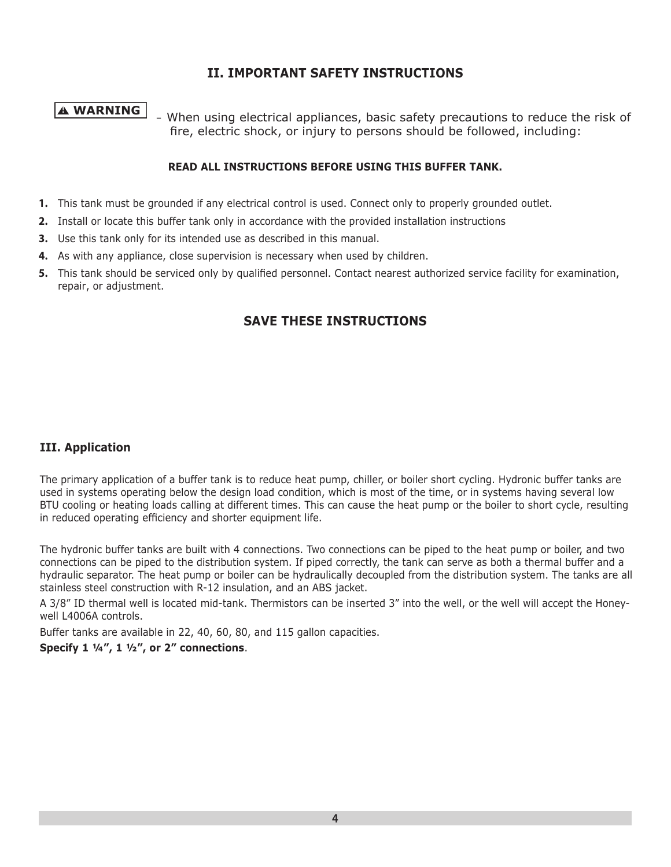### **II. IMPORTANT SAFETY INSTRUCTIONS**

**! WARNING** – When using electrical appliances, basic safety precautions to reduce the risk of fire, electric shock, or injury to persons should be followed, including:

### **READ ALL INSTRUCTIONS BEFORE USING THIS BUFFER TANK.**

- **1.** This tank must be grounded if any electrical control is used. Connect only to properly grounded outlet.
- **2.** Install or locate this buffer tank only in accordance with the provided installation instructions
- **3.** Use this tank only for its intended use as described in this manual.
- **4.** As with any appliance, close supervision is necessary when used by children.
- **5.** This tank should be serviced only by qualified personnel. Contact nearest authorized service facility for examination, repair, or adjustment.

### **SAVE THESE INSTRUCTIONS**

### **III. Application**

The primary application of a buffer tank is to reduce heat pump, chiller, or boiler short cycling. Hydronic buffer tanks are used in systems operating below the design load condition, which is most of the time, or in systems having several low BTU cooling or heating loads calling at different times. This can cause the heat pump or the boiler to short cycle, resulting in reduced operating efficiency and shorter equipment life.

The hydronic buffer tanks are built with 4 connections. Two connections can be piped to the heat pump or boiler, and two connections can be piped to the distribution system. If piped correctly, the tank can serve as both a thermal buffer and a hydraulic separator. The heat pump or boiler can be hydraulically decoupled from the distribution system. The tanks are all stainless steel construction with R-12 insulation, and an ABS jacket.

A 3/8" ID thermal well is located mid-tank. Thermistors can be inserted 3" into the well, or the well will accept the Honeywell L4006A controls.

Buffer tanks are available in 22, 40, 60, 80, and 115 gallon capacities.

**Specify 1 ¼", 1 ½", or 2" connections**.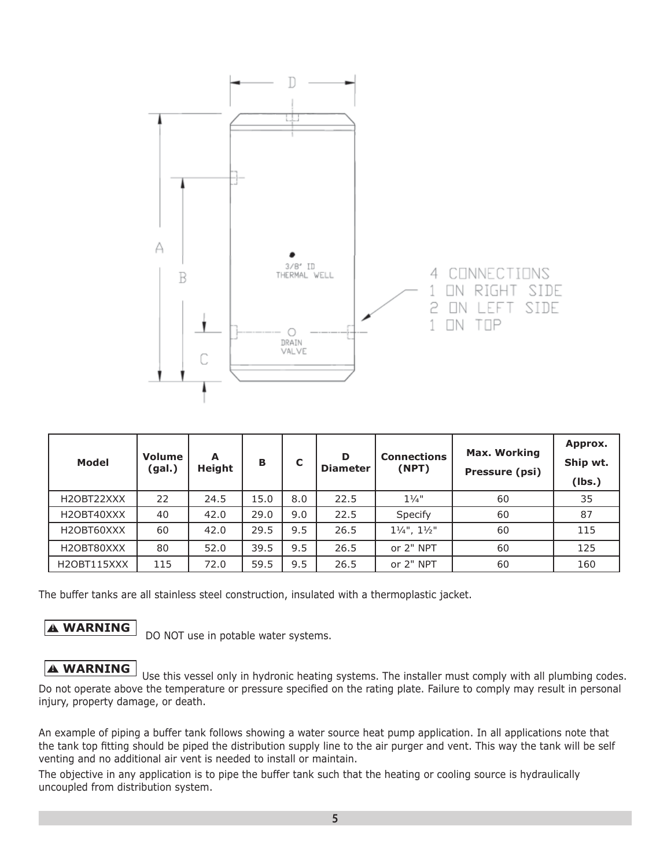

| <b>Model</b> | Volume<br>(gal.) | A<br><b>Height</b> | В    | C   | D<br><b>Diameter</b> | <b>Connections</b><br>(NPT)        | <b>Max. Working</b><br>Pressure (psi) | Approx.<br>Ship wt.<br>(lbs.) |
|--------------|------------------|--------------------|------|-----|----------------------|------------------------------------|---------------------------------------|-------------------------------|
| H2OBT22XXX   | 22               | 24.5               | 15.0 | 8.0 | 22.5                 | $1\frac{1}{4}$ "                   | 60                                    | 35                            |
| H2OBT40XXX   | 40               | 42.0               | 29.0 | 9.0 | 22.5                 | Specify                            | 60                                    | 87                            |
| H2OBT60XXX   | 60               | 42.0               | 29.5 | 9.5 | 26.5                 | $1\frac{1}{4}$ ", $1\frac{1}{2}$ " | 60                                    | 115                           |
| H2OBT80XXX   | 80               | 52.0               | 39.5 | 9.5 | 26.5                 | or 2" NPT                          | 60                                    | 125                           |
| H2OBT115XXX  | 115              | 72.0               | 59.5 | 9.5 | 26.5                 | or 2" NPT                          | 60                                    | 160                           |

The buffer tanks are all stainless steel construction, insulated with a thermoplastic jacket.

**A WARNING** DO NOT use in potable water systems.

### **A WARNING** Use this vessel only in hydronic heating systems. The installer must comply with all plumbing codes. Do not operate above the temperature or pressure specified on the rating plate. Failure to comply may result in personal injury, property damage, or death.

An example of piping a buffer tank follows showing a water source heat pump application. In all applications note that the tank top fitting should be piped the distribution supply line to the air purger and vent. This way the tank will be self venting and no additional air vent is needed to install or maintain.

The objective in any application is to pipe the buffer tank such that the heating or cooling source is hydraulically uncoupled from distribution system.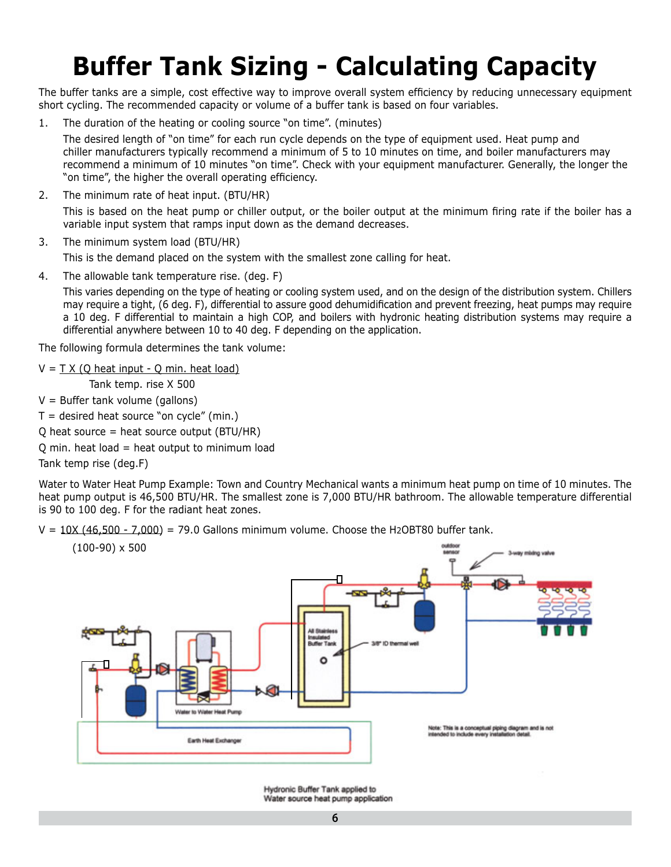# **Buffer Tank Sizing - Calculating Capacity**

The buffer tanks are a simple, cost effective way to improve overall system efficiency by reducing unnecessary equipment short cycling. The recommended capacity or volume of a buffer tank is based on four variables.

1. The duration of the heating or cooling source "on time". (minutes)

The desired length of "on time" for each run cycle depends on the type of equipment used. Heat pump and chiller manufacturers typically recommend a minimum of 5 to 10 minutes on time, and boiler manufacturers may recommend a minimum of 10 minutes "on time". Check with your equipment manufacturer. Generally, the longer the "on time", the higher the overall operating efficiency.

2. The minimum rate of heat input. (BTU/HR)

This is based on the heat pump or chiller output, or the boiler output at the minimum firing rate if the boiler has a variable input system that ramps input down as the demand decreases.

3. The minimum system load (BTU/HR)

This is the demand placed on the system with the smallest zone calling for heat.

4. The allowable tank temperature rise. (deg. F)

This varies depending on the type of heating or cooling system used, and on the design of the distribution system. Chillers may require a tight, (6 deg. F), differential to assure good dehumidification and prevent freezing, heat pumps may require a 10 deg. F differential to maintain a high COP, and boilers with hydronic heating distribution systems may require a differential anywhere between 10 to 40 deg. F depending on the application.

The following formula determines the tank volume:

 $V = T X (Q heat input - Q min. heat load)$ 

Tank temp. rise X 500

 $V =$  Buffer tank volume (gallons)

 $T =$  desired heat source "on cycle" (min.)

 $Q$  heat source = heat source output (BTU/HR)

 $Q$  min. heat load = heat output to minimum load

Tank temp rise (deg.F)

Water to Water Heat Pump Example: Town and Country Mechanical wants a minimum heat pump on time of 10 minutes. The heat pump output is 46,500 BTU/HR. The smallest zone is 7,000 BTU/HR bathroom. The allowable temperature differential is 90 to 100 deg. F for the radiant heat zones.

 $V = 10X (46,500 - 7,000) = 79.0$  Gallons minimum volume. Choose the H2OBT80 buffer tank.



Hydronic Buffer Tank applied to Water source heat pump application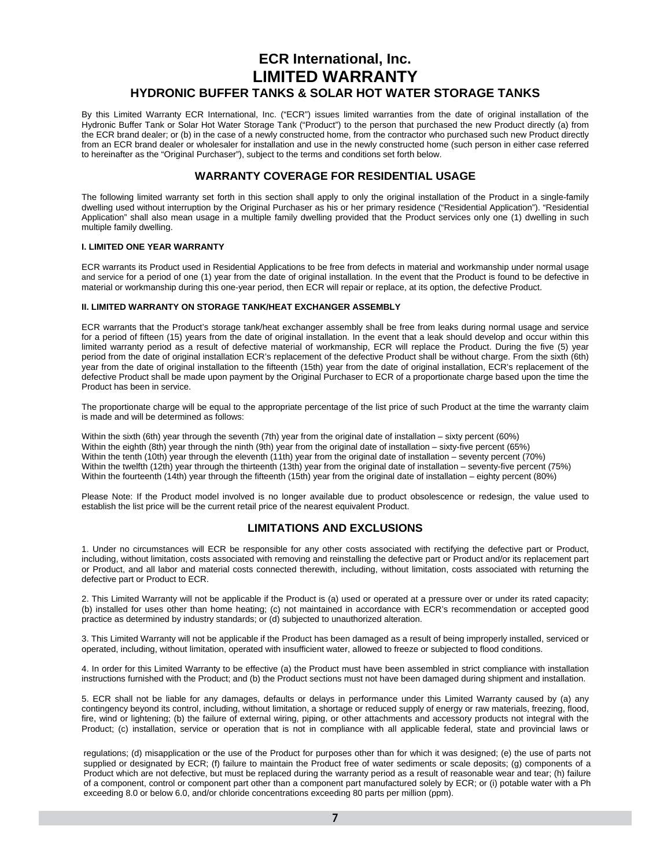### **ECR International, Inc. LIMITED WARRANTY HYDRONIC BUFFER TANKS & SOLAR HOT WATER STORAGE TANKS**

By this Limited Warranty ECR International, Inc. ("ECR") issues limited warranties from the date of original installation of the Hydronic Buffer Tank or Solar Hot Water Storage Tank ("Product") to the person that purchased the new Product directly (a) from the ECR brand dealer; or (b) in the case of a newly constructed home, from the contractor who purchased such new Product directly from an ECR brand dealer or wholesaler for installation and use in the newly constructed home (such person in either case referred to hereinafter as the "Original Purchaser"), subject to the terms and conditions set forth below.

### **WARRANTY COVERAGE FOR RESIDENTIAL USAGE**

The following limited warranty set forth in this section shall apply to only the original installation of the Product in a single-family dwelling used without interruption by the Original Purchaser as his or her primary residence ("Residential Application"). "Residential Application" shall also mean usage in a multiple family dwelling provided that the Product services only one (1) dwelling in such multiple family dwelling.

### **I. LIMITED ONE YEAR WARRANTY**

ECR warrants its Product used in Residential Applications to be free from defects in material and workmanship under normal usage and service for a period of one (1) year from the date of original installation. In the event that the Product is found to be defective in material or workmanship during this one-year period, then ECR will repair or replace, at its option, the defective Product.

### **II. LIMITED WARRANTY ON STORAGE TANK/HEAT EXCHANGER ASSEMBLY**

ECR warrants that the Product's storage tank/heat exchanger assembly shall be free from leaks during normal usage and service for a period of fifteen (15) years from the date of original installation. In the event that a leak should develop and occur within this limited warranty period as a result of defective material of workmanship, ECR will replace the Product. During the five (5) year period from the date of original installation ECR's replacement of the defective Product shall be without charge. From the sixth (6th) year from the date of original installation to the fifteenth (15th) year from the date of original installation, ECR's replacement of the defective Product shall be made upon payment by the Original Purchaser to ECR of a proportionate charge based upon the time the Product has been in service.

The proportionate charge will be equal to the appropriate percentage of the list price of such Product at the time the warranty claim is made and will be determined as follows:

Within the sixth (6th) year through the seventh (7th) year from the original date of installation – sixty percent (60%) Within the eighth (8th) year through the ninth (9th) year from the original date of installation – sixty-five percent (65%) Within the tenth (10th) year through the eleventh (11th) year from the original date of installation – seventy percent (70%) Within the twelfth (12th) year through the thirteenth (13th) year from the original date of installation – seventy-five percent (75%) Within the fourteenth (14th) year through the fifteenth (15th) year from the original date of installation – eighty percent (80%)

Please Note: If the Product model involved is no longer available due to product obsolescence or redesign, the value used to establish the list price will be the current retail price of the nearest equivalent Product.

### **LIMITATIONS AND EXCLUSIONS**

1. Under no circumstances will ECR be responsible for any other costs associated with rectifying the defective part or Product, including, without limitation, costs associated with removing and reinstalling the defective part or Product and/or its replacement part or Product, and all labor and material costs connected therewith, including, without limitation, costs associated with returning the defective part or Product to ECR.

2. This Limited Warranty will not be applicable if the Product is (a) used or operated at a pressure over or under its rated capacity; (b) installed for uses other than home heating; (c) not maintained in accordance with ECR's recommendation or accepted good practice as determined by industry standards; or (d) subjected to unauthorized alteration.

3. This Limited Warranty will not be applicable if the Product has been damaged as a result of being improperly installed, serviced or operated, including, without limitation, operated with insufficient water, allowed to freeze or subjected to flood conditions.

4. In order for this Limited Warranty to be effective (a) the Product must have been assembled in strict compliance with installation instructions furnished with the Product; and (b) the Product sections must not have been damaged during shipment and installation.

5. ECR shall not be liable for any damages, defaults or delays in performance under this Limited Warranty caused by (a) any contingency beyond its control, including, without limitation, a shortage or reduced supply of energy or raw materials, freezing, flood, fire, wind or lightening; (b) the failure of external wiring, piping, or other attachments and accessory products not integral with the Product; (c) installation, service or operation that is not in compliance with all applicable federal, state and provincial laws or

regulations; (d) misapplication or the use of the Product for purposes other than for which it was designed; (e) the use of parts not supplied or designated by ECR; (f) failure to maintain the Product free of water sediments or scale deposits; (g) components of a Product which are not defective, but must be replaced during the warranty period as a result of reasonable wear and tear; (h) failure of a component, control or component part other than a component part manufactured solely by ECR; or (i) potable water with a Ph exceeding 8.0 or below 6.0, and/or chloride concentrations exceeding 80 parts per million (ppm).